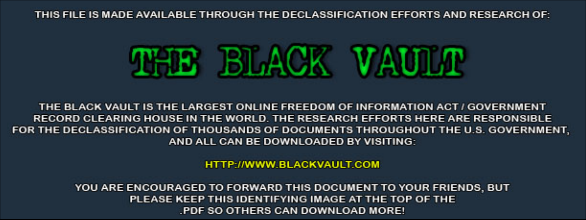THIS FILE IS MADE AVAILABLE THROUGH THE DECLASSIFICATION EFFORTS AND RESEARCH OF:



THE BLACK VAULT IS THE LARGEST ONLINE FREEDOM OF INFORMATION ACT / GOVERNMENT RECORD CLEARING HOUSE IN THE WORLD. THE RESEARCH EFFORTS HERE ARE RESPONSIBLE FOR THE DECLASSIFICATION OF THOUSANDS OF DOCUMENTS THROUGHOUT THE U.S. GOVERNMENT, AND ALL CAN BE DOWNLOADED BY VISITING:

**HTTP://WWW.BLACKVAULT.COM** 

YOU ARE ENCOURAGED TO FORWARD THIS DOCUMENT TO YOUR FRIENDS, BUT PLEASE KEEP THIS IDENTIFYING IMAGE AT THE TOP OF THE PDF SO OTHERS CAN DOWNLOAD MORE!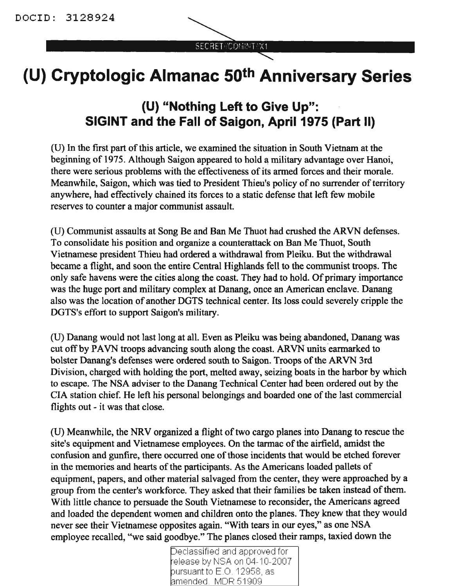SECRET/COMINT/X1

## **(U) Cryptologic Almanac 50th Anniversary Series**

## **(U) "Nothing Left to Give Up": SIGINT and the Fall of Saigon, April 1975 (Part II)**

(U) In the first part of this article, we examined the situation in South Vietnam at the beginning of 1975. Although Saigon appeared to hold a military advantage over Hanoi, there were serious problems with the effectiveness of its armed forces and their morale. Meanwhile, Saigon, which was tied to President Thieu's policy of no surrender of territory anywhere, had effectively chained its forces to a static defense that left few mobile reserves to counter a major communist assault.

(U) Communist assaults at Song Be and Ban Me Thuot had crushed the ARVN defenses. To consolidate his position and organize a counterattack on Ban Me Thuot, South Vietnamese president Thieu had ordered a withdrawal from Pleiku. But the withdrawal became a flight, and soon the entire Central Highlands fell to the communist troops. The only safe havens were the cities along the coast. They had to hold. Of primary importance was the huge port and military complex at Danang, once an American enclave. Danang also was the location of another DGTS technical center. Its loss could severely cripple the DGTS's effort to support Saigon's military.

(U) Danang would not last long at all. Even as Pleiku was being abandoned, Danang was cut off by PAVN troops advancing south along the coast. ARVN units'earmarked to bolster Danang's defenses were ordered south to Saigon. Troops of the ARVN 3rd Division, charged with holding the port, melted away, seizing boats in the harbor by which to escape. The NSA adviser to the Danang Technical Center had been ordered out by the CIA station chief. He left his personal belongings and boarded one of the last commercial flights out - it was that close.

(U) Meanwhile, the NRV organized a flight oftwo cargo planes into Danang to rescue the site's equipment and Vietnamese employees. On the tarmac of the airfield, amidst the confusion and gunfire, there occurred one of those incidents that would be etched forever in the memories and hearts of the participants. As the Americans loaded pallets of equipment, papers, and other material salvaged from the center, they were approached by a group from the center's workforce. They asked that their families be taken instead of them. With little chance to persuade the South Vietnamese to reconsider, the Americans agreed and loaded the dependent women and children onto the planes. They knew that they would never see their Vietnamese opposites again. "With tears in our eyes," as one NSA employee recalled, "we said goodbye." The planes closed their ramps, taxied down the

Declassified and approved for release by NSA on 04-10-2007 pursuant to E.O. 12958, as amended, MDR 51909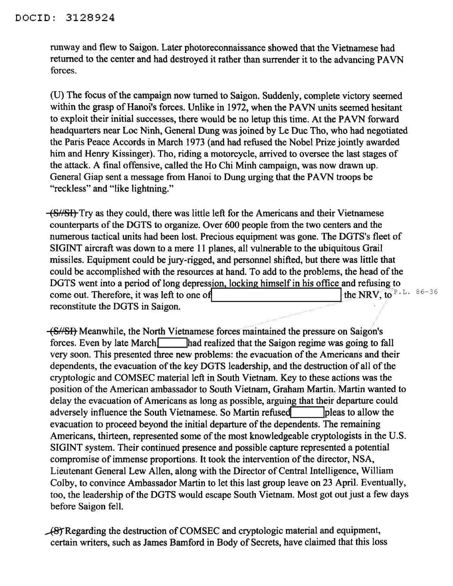runway and flew to Saigon. Later photoreconnaissance showed that the Vietnamese had returned to the center and had destroyed it rather than surrender it to the advancing PAVN forces.

(U) The focus of the campaign now turned to Saigon. Suddenly, complete victory seemed within the grasp of Hanoi's forces. Unlike in 1972, when the PAVN units seemed hesitant to exploit their initial successes, there would be no letup this time. At the PAVN forward headquarters near Loc Ninh, General Dung was joined by Le Due Tho, who had negotiated the Paris Peace Accords in March 1973 (and had refused the Nobel Prize jointly awarded him and Henry Kissinger). Tho, riding a motorcycle, arrived to oversee the last stages of the attack. A final offensive, called the Ho Chi Minh campaign, was now drawn up. General Giap sent a message from Hanoi to Dung urging that the PAVN troops be "reckless" and "like lightning."

(S/SI) Try as they could, there was little left for the Americans and their Vietnamese counterparts of the DGTS to organize. Over 600 people from the two centers and the numerous tactical units had been lost. Precious equipment was gone. The DGTS's fleet of SIGINT aircraft was down to a mere 11 planes, all vulnerable to the ubiquitous Grail missiles. Equipment could be jury-rigged, and personnel shifted, but there was little that could be accomplished with the resources at hand. To add to the problems, the head of the DGTS went into a period of long depression, locking himself in his office and refusing to come out. Therefore, it was left to one of reconstitute the DGTS in Saigon. the NRV, to  $P.L. 86-36$ 

(S//SI) Meanwhile, the North Vietnamese forces maintained the pressure on Saigon's forces. Even by late March<sup>1</sup> lhad realized that the Saigon regime was going to fall very soon. This presented three new problems: the evacuation of the Americans and their dependents, the evacuation of the key DGTS leadership, and the destruction of all of the cryptologic and COMSEC material left in South Vietnam. Key to these actions was the position of the American ambassador to South Vietnam, Graham Martin. Martin wanted to delay the evacuation of Americans as long as possible, arguing that their departure could adversely influence the South Vietnamese. So Martin refused pleas to allow the evacuation to proceed beyond the initial departure of the dependents. The remaining Americans, thirteen, represented some of the most knowledgeable cryptologists in the U.S. SIGINT system. Their continued presence and possible capture represented a potential compromise of immense proportions. It took the intervention of the director, NSA, Lieutenant General Lew Allen, along with the Director of Central Intelligence, William Colby, to convince Ambassador Martin to let this last group leave on 23 April. Eventually, too, the leadership of the DGTS would escape South Vietnam. Most got out just a few days before Saigon fell.

~Regarding the destruction ofCOMSEC and cryptologic material and equipment, certain writers, such as James Bamford in Body of Secrets, have claimed that this loss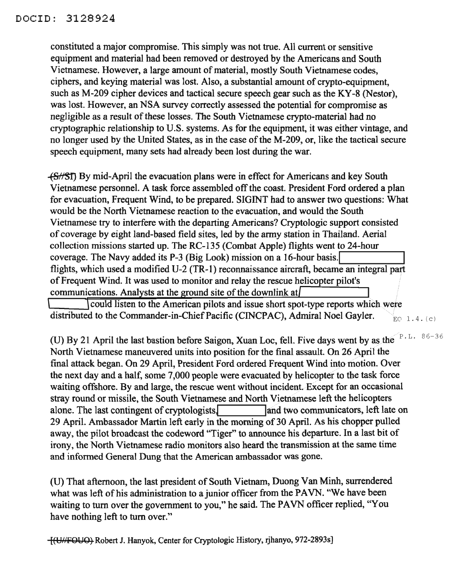constituted a major compromise. This simply was not true. All current or sensitive equipment and material had been removed or destroyed by the Americans and South Vietnamese. However, a large amount of material, mostly South Vietnamese codes, ciphers, and keying material was lost. Also, a substantial amount of crypto-equipment, such as M-209 cipher devices and tactical secure speech gear such as the KY-8 (Nestor), was lost. However, an NSA survey correctly assessed the potential for compromise as negligible as a result of these losses. The South Vietnamese crypto-material had no cryptographic relationship to U.S. systems. As for the equipment, it was either vintage, and no longer used by the United States, as in the case of the M-209, or, like the tactical secure speech equipment, many sets had already been lost during the war.

 $-$ (S//Sf) By mid-April the evacuation plans were in effect for Americans and key South Vietnamese personnel. A task force assembled off the coast. President Ford ordered a plan for evacuation, Frequent Wind, to be prepared. SIGINT had to answer two questions: What would be the North Vietnamese reaction to the evacuation, and would the South Vietnamese try to interfere with the departing Americans? Cryptologic support consisted of coverage by eight land-based field sites, led by the army station in Thailand. Aerial collection missions started up. The RC-135 (Combat Apple) flights went to 24-hour coverage. The Navy added its P-3 (Big Look) mission on a 16-hour basis. flights, which used a modified U-2 (TR-I) reconnaissance aircraft, became an integral part ofFrequent Wind. It was used to monitor and relay the rescue helicopter pilot's communications. Analysts at the ground site of the downlink at

could listen to the American pilots and issue short spot-type reports which were distributed to the Commander-in-Chief Pacific (CINCPAC), Admiral Noel Gayler.  $\sum_{E}$ <sub>EO 1.4. (c)</sub>

(U) By 21 April the last bastion before Saigon, Xuan Loc, fell. Five days went by as the  $\mathbb{P}^{1.5}$ . 86-36 North Vietnamese maneuvered units into position for the final assault. On 26 April the final attack began. On 29 April, President Ford ordered Frequent Wind into motion. Over the next day and a half, some 7,000 people were evacuated by helicopter to the task force waiting offshore. By and large, the rescue went without incident. Except for an occasional stray round or missile, the South Vietnamese and North Vietnamese left the helicopters alone. The last contingent of cryptologists. and two communicators, left late on 29 April. Ambassador Martin left early in the morning of 30 April. As his chopper pulled away, the pilot broadcast the codeword "Tiger" to announce his departure. In a last bit of irony, the North Vietnamese radio monitors also heard the transmission at the same time and informed General Dung that the American ambassador was gone.

(D) That afternoon, the last president of South Vietnam, Duong Van Minh, surrendered what was left of his administration to a junior officer from the PAVN. "We have been waiting to tum over the government to you," he said. The PAVN officer replied, "You have nothing left to tum over."

[(U£,£fOUO) Robert J. Hanyok, Center for Cryptologic History, rjhanyo, 972-2893s]